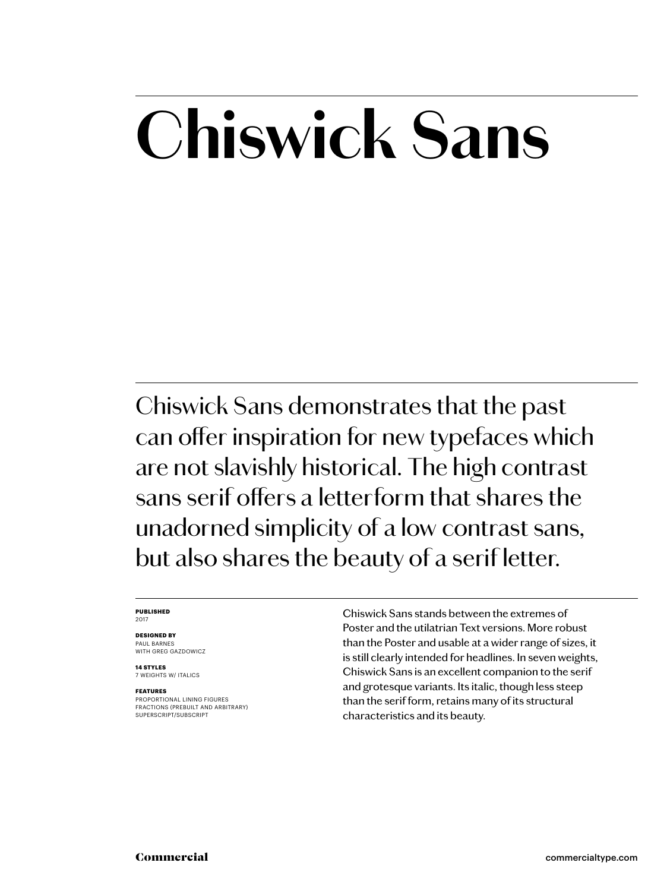## **Chiswick Sans**

Chiswick Sans demonstrates that the past can offer inspiration for new typefaces which are not slavishly historical. The high contrast sans serif offers a letterform that shares the unadorned simplicity of a low contrast sans, but also shares the beauty of a serif letter.

### **PUBLISHED** 2017

### **DESIGNED BY** PAUL BARNES

WITH GREG GAZDOWICZ

**14 STYLES** 7 WEIGHTS W/ ITALICS

### **FEATURES**

PROPORTIONAL LINING FIGURES FRACTIONS (PREBUILT AND ARBITRARY) SUPERSCRIPT/SUBSCRIPT

Chiswick Sans stands between the extremes of Poster and the utilatrian Text versions. More robust than the Poster and usable at a wider range of sizes, it is still clearly intended for headlines. In seven weights, Chiswick Sans is an excellent companion to the serif and grotesque variants. Its italic, though less steep than the serif form, retains many of its structural characteristics and its beauty.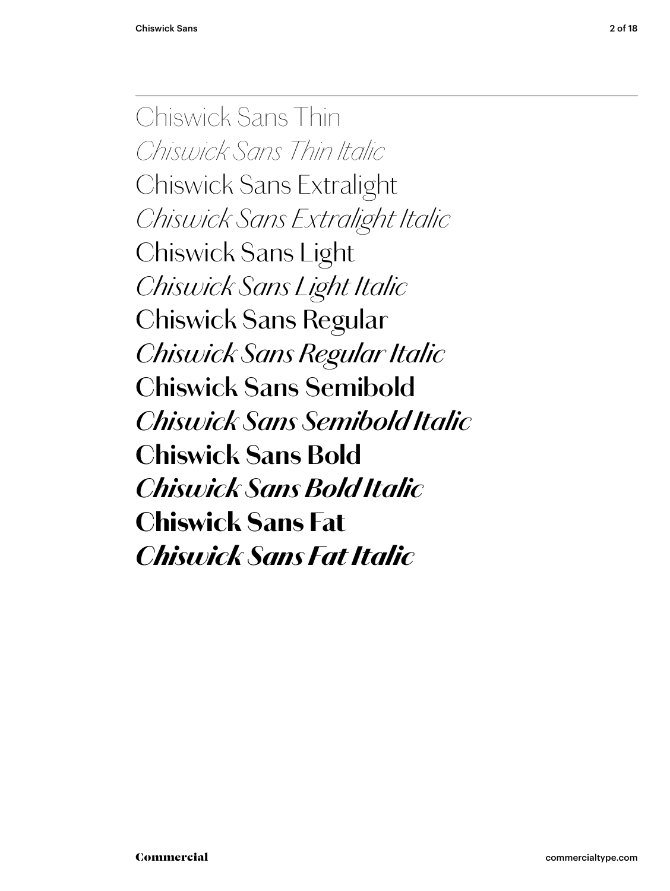Chiswick Sans Thin *Chiswick Sans Thin Italic Chiswick Sans Extralight Chiswick Sans Extralight Italic* Chiswick Sans Light *Chiswick Sans Light Italic* Chiswick Sans Regular *Chiswick Sans Regular Italic* **Chiswick Sans Semibold** *Chiswick Sans Semibold Italic* **Chiswick Sans Bold** *Chiswick Sans Bold Italic* Chiswick Sans Fat *Chiswick Sans Fat Italic*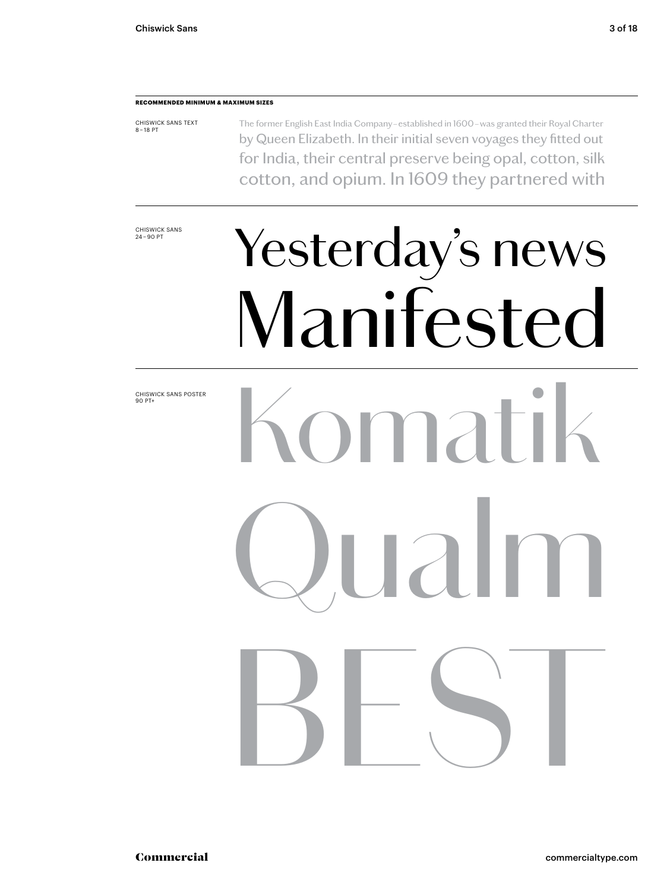### **RECOMMENDED MINIMUM & MAXIMUM SIZES**

CHISWICK SANS TEXT 8 – 18 PT The former English East India Company – established in 1600 – was granted their Royal Charter by Queen Elizabeth. In their initial seven voyages they fitted out for India, their central preserve being opal, cotton, silk cotton, and opium. In 1609 they partnered with

CHISWICK SANS<br>24-90 PT

## Yesterday's news Manifested

CHISWICK SANS POSTER 90 PT+

# Komatik  $\mathsf{a}\mathsf{l}$ BEST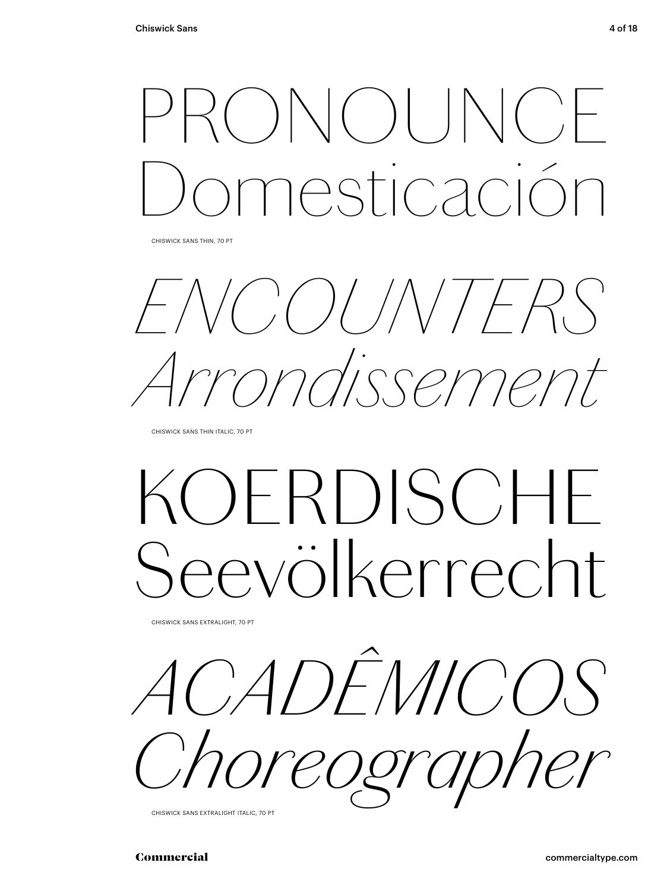## $|\setminus |(-) |$ Domesticación

CHISWICK SANS THIN, 70 PT

*ENCOUNTERS Arrondissement*

CHISWICK SANS THIN ITALIC, 70 PT

## *KOERDISCHE Seevölkerrecht*

CHISWICK SANS EXTRALIGHT, 70 PT

*ACADÊMICOS Choreographer*

CHISWICK SANS EXTRALIGHT ITALIC, 70 PT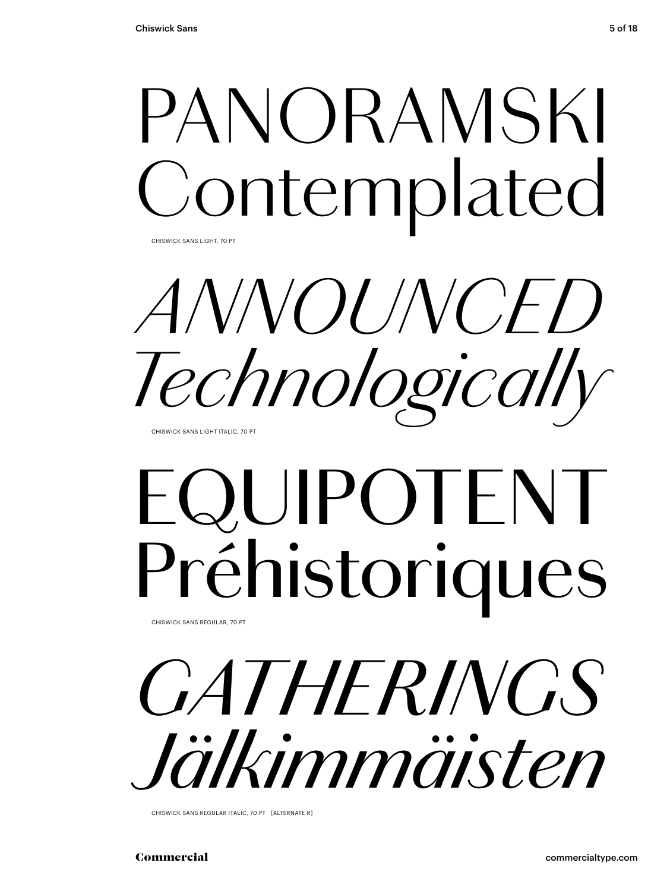## PANORAMSKI ontemplated

CHISWICK SANS LIGHT, 70 PT

*ANNOUNCED Technologically*

CHISWICK SANS LIGHT ITALIC, 70 PT

## EQUIPOTENT Préhistoriques

CHISWICK SANS REGULAR, 70 PT

*GATHERINGS Jälkimmäisten*

CHISWICK SANS REGULAR ITALIC, 70 PT [ALTERNATE R]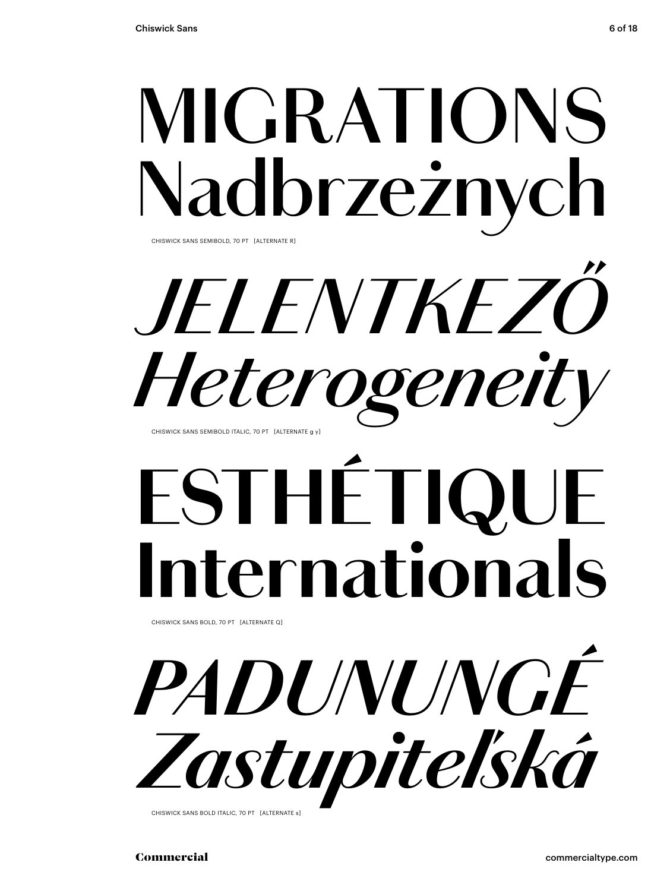## **MIGRATIONS** Nadbrzeżnych

CHISWICK SANS SEMIBOLD, 70 PT [ALTERNATE R]

*JELENTKEZŐ Heterogeneit* CHISWICK SANS SEMIBOLD ITALIC, 70 PT [ALTERNATE g y]

## **ESTHÉTI Iernationals**

CHISWICK SANS BOLD, 70 PT [ALTERNATE Q]



CHISWICK SANS BOLD ITALIC, 70 PT [ALTERNATE s]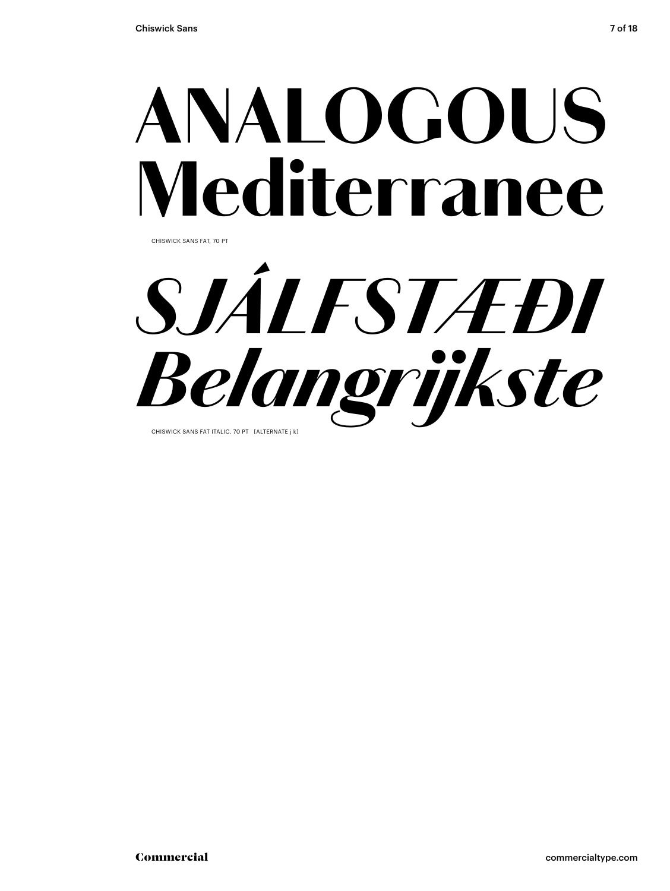## ANALOGOUS Mediterranee

CHISWICK SANS FAT, 70 PT

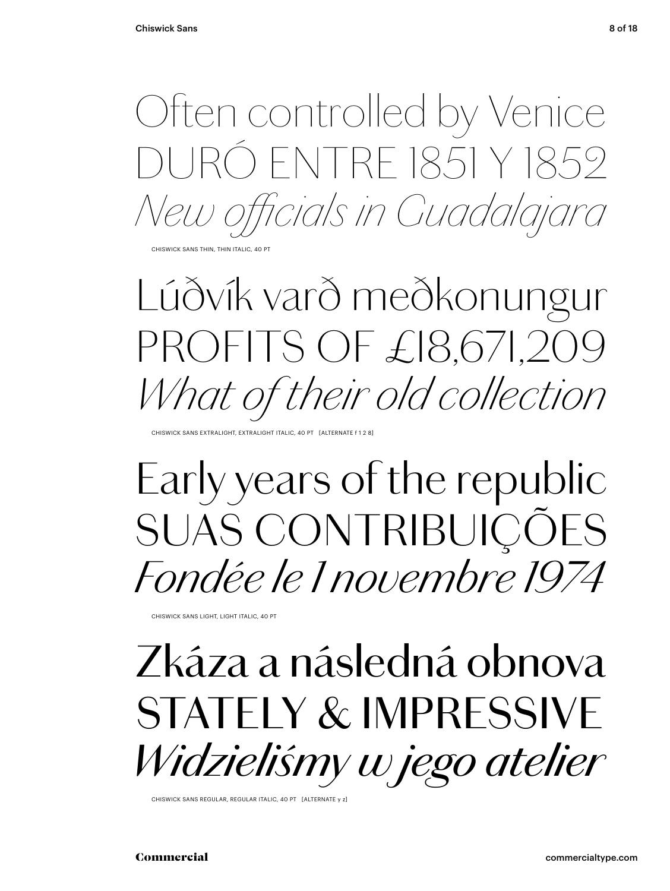

CHISWICK SANS THIN, THIN ITALIC, 40 PT

### *Lúðvík varð meðkonungur PROFITS OF £18,671,209 What of their old collection*

CHISWICK SANS EXTRALIGHT, EXTRALIGHT ITALIC, 40 PT [ALTERNATE f 1 2 8]

### Early years of the republic SUAS CONTRIBUIÇÕES *Fondée le 1 novembre 1974*

CHISWICK SANS LIGHT, LIGHT ITALIC, 40 PT

### Zkáza a následná obnova STATELY & IMPRESSIVE *Widzieliśmy w jego atelier*

CHISWICK SANS REGULAR, REGULAR ITALIC, 40 PT [ALTERNATE y z]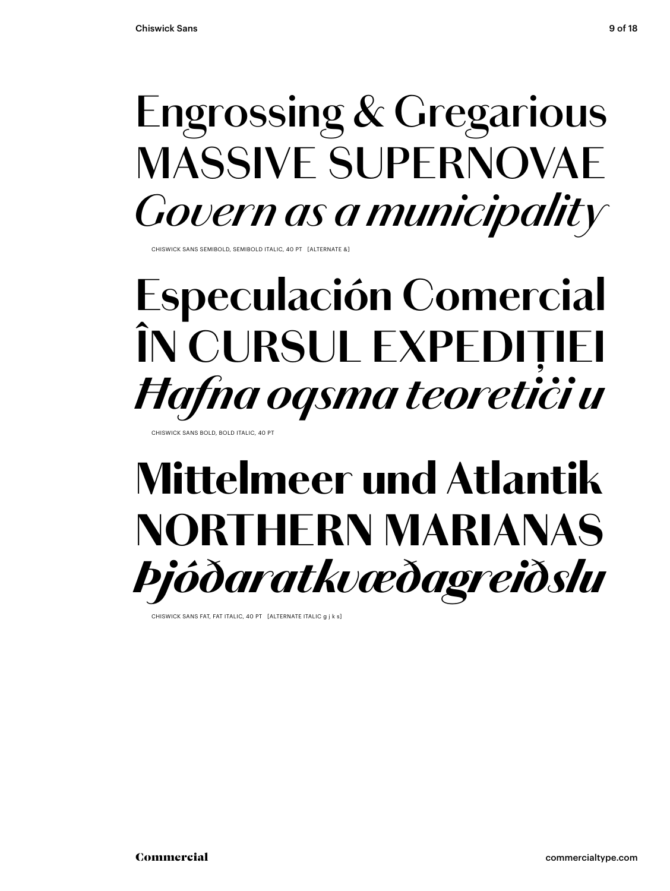### **Engrossing & Gregarious MASSIVE SUPERNOVAE** *Govern as a municipality*

CHISWICK SANS SEMIBOLD, SEMIBOLD ITALIC, 40 PT [ALTERNATE &]

### **Especulación Comercial ÎN CURSUL EXPEDIȚIEI** *Ħafna oqsma teoretiċi u*

CHISWICK SANS BOLD, BOLD ITALIC, 40 PT

### Mittelmeer und Atlantik NORTHERN MARIANAS *Þjóðaratkvæðagreiðslu*

CHISWICK SANS FAT, FAT ITALIC, 40 PT [ALTERNATE ITALIC a j k s]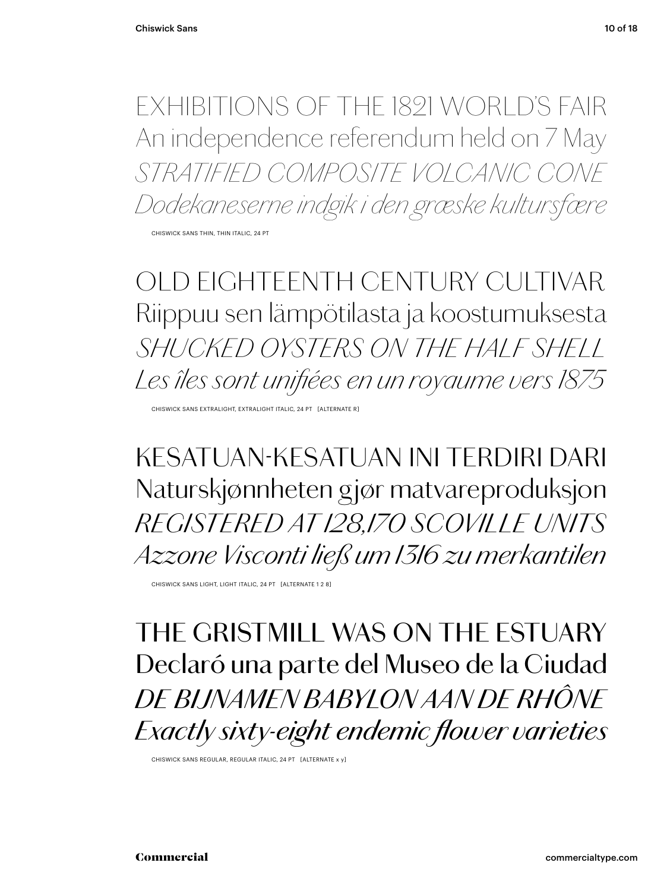EXHIBITIONS OF THE 1821 WORLD'S FAIR An independence referendum held on 7 May *STRATIFIED COMPOSITE VOLCANIC CONE Dodekaneserne indgik i den græske kultursfære*

CHISWICK SANS THIN, THIN ITALIC, 24 PT

*OLD EIGHTEENTH CENTURY CULTIVAR Riippuu sen lämpötilasta ja koostumuksesta SHUCKED OYSTERS ON THE HALF SHELL Les îles sont unifiées en un royaume vers 1875*

CHISWICK SANS EXTRALIGHT, EXTRALIGHT ITALIC, 24 PT [ALTERNATE R]

KESATUAN-KESATUAN INI TERDIRI DARI Naturskjønnheten gjør matvareproduksjon *REGISTERED AT 128,170 SCOVILLE UNITS Azzone Visconti ließ um 1316 zu merkantilen*

CHISWICK SANS LIGHT, LIGHT ITALIC, 24 PT [ALTERNATE 1 2 8]

THE GRISTMILL WAS ON THE ESTUARY Declaró una parte del Museo de la Ciudad *DE BIJNAMEN BABYLON AAN DE RHÔNE Exactly sixty-eight endemic flower varieties*

CHISWICK SANS REGULAR, REGULAR ITALIC, 24 PT [ALTERNATE x y]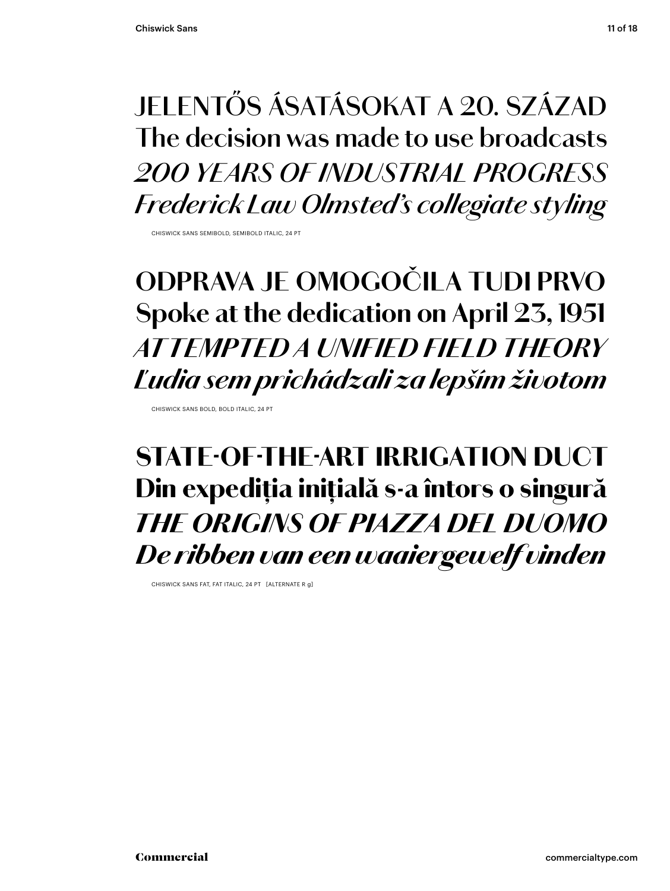### **JELENTŐS ÁSATÁSOKAT A 20. SZÁZAD The decision was made to use broadcasts** *200 YEARS OF INDUSTRIAL PROGRESS Frederick Law Olmsted's collegiate styling*

CHISWICK SANS SEMIBOLD, SEMIBOLD ITALIC, 24 PT

### **ODPRAVA JE OMOGOČILA TUDI PRVO Spoke at the dedication on April 23, 1951** *AT TEMPTED A UNIFIED FIELD THEORY Ľudia sem prichádzali za lepším životom*

CHISWICK SANS BOLD, BOLD ITALIC, 24 PT

### STATE-OF-THE-ART IRRIGATION DUCT Din expediția inițială s-a întors o singură *THE ORIGINS OF PIAZZA DEL DUOMO De ribben van een waaiergewelf vinden*

CHISWICK SANS FAT, FAT ITALIC, 24 PT [ALTERNATE R g]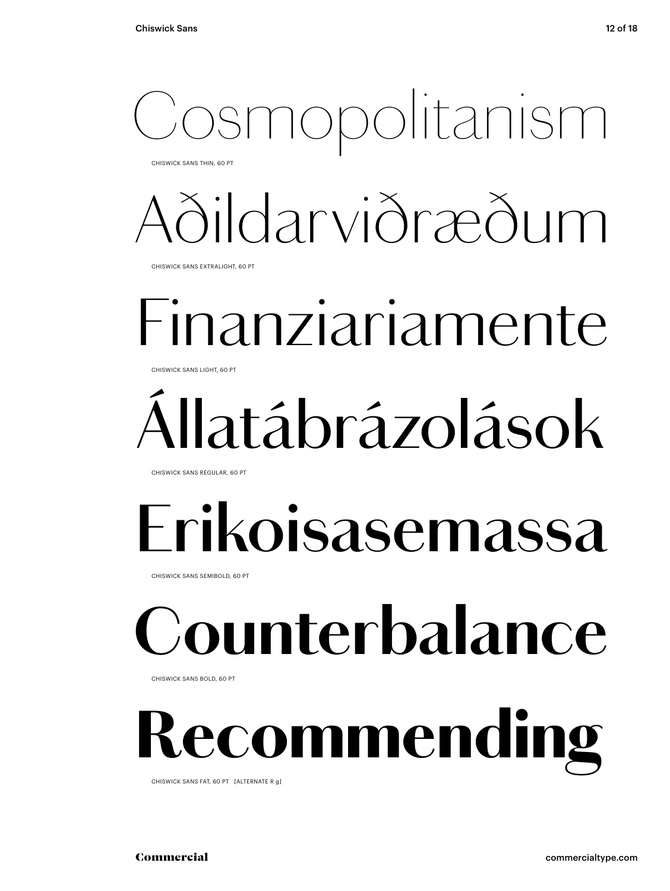### smopolitanism

CHISWICK SANS THIN, 60 PT

### *Aðildarviðræðum*

CHISWICK SANS EXTRALIGHT, 60 PT

### Finanziariamente

CHISWICK SANS LIGHT, 60 PT

## Állatábrázolások

CHISWICK SANS REGULAR, 60 PT

### **Erikoisasemassa**

CHISWICK SANS SEMIBOLD, 60 PT

## **Counterbalance**

CHISWICK SANS BOLD, 60 PT

## *<u>ecommending</u>*

CHISWICK SANS FAT, 60 PT [ALTERNATE R g]

Commercial commercialtype.com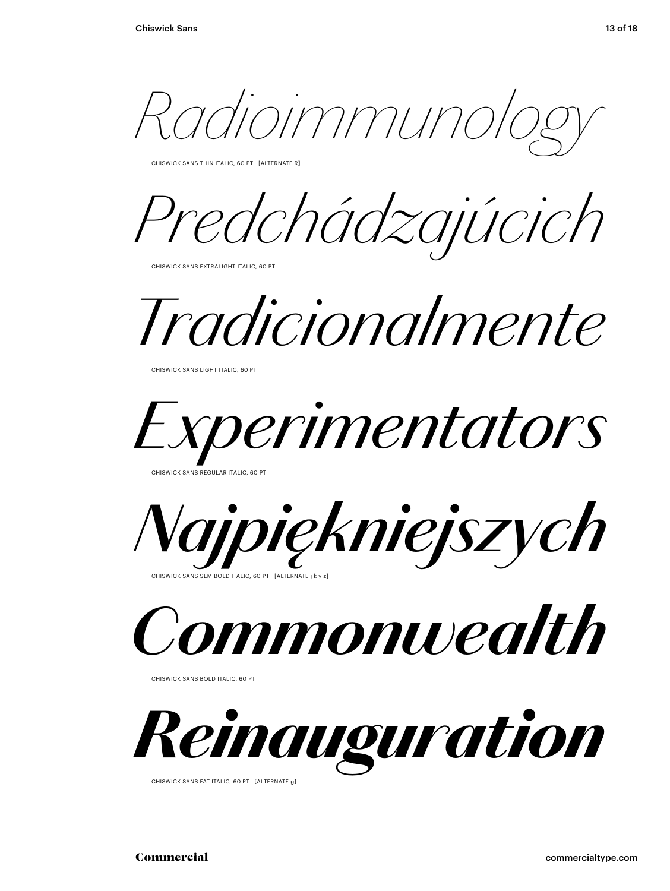*Radioimmunology*

CHISWICK SANS THIN ITALIC, 60 PT [ALTERNATE R]

*Predchádzajúcich*

CHISWICK SANS EXTRALIGHT ITALIC, 60 PT

*Tradicionalmente*

CHISWICK SANS LIGHT ITALIC, 60 PT



CHISWICK SANS REGULAR ITALIC, 60 PT



*Commonwealth*

CHISWICK SANS BOLD ITALIC, 60 PT



CHISWICK SANS FAT ITALIC, 60 PT [ALTERNATE g]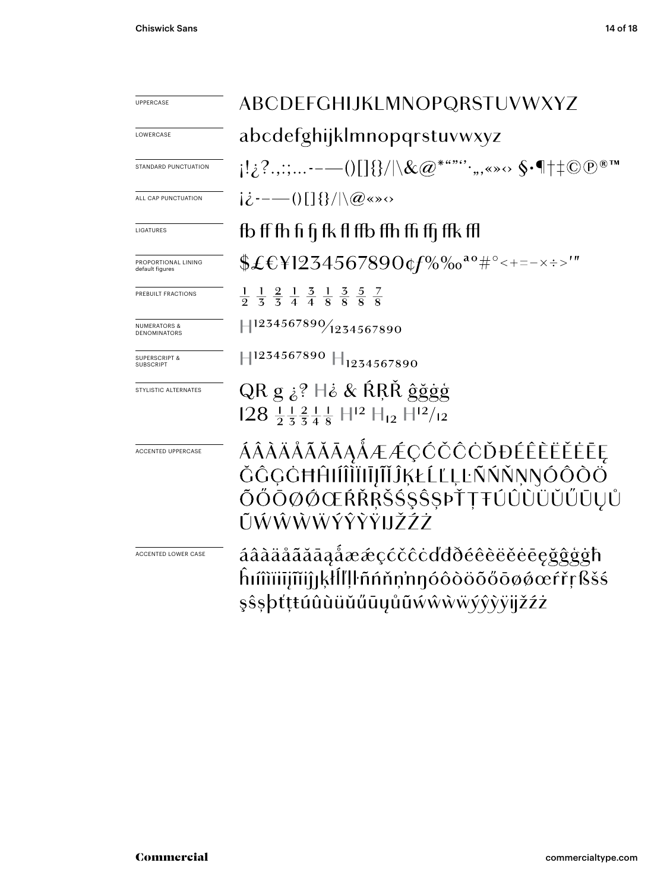| <b>UPPERCASE</b>                        | ABCDEFGHIJKLMNOPQRSTUVWXYZ                                                                                                                  |  |  |
|-----------------------------------------|---------------------------------------------------------------------------------------------------------------------------------------------|--|--|
| LOWERCASE                               | abcdefghijklmnopqrstuvwxyz                                                                                                                  |  |  |
| STANDARD PUNCTUATION                    | $\{ \mathcal{C}_1^1, \mathcal{C}_2^2, \ldots \text{---}() \text{and} \text{---}() \text{and} \text{---}() \text{---}() \text{---} \}$       |  |  |
| ALL CAP PUNCTUATION                     | $ \dot{\mathcal{L}}^{---}()[\,]\{\}/ \langle\mathcal{Q}^{(\mathcal{S}\times\mathcal{S})}\rangle$                                            |  |  |
| LIGATURES                               | fb ff fh fi fi fk fl ffb ffh ffi ffi ffk ffl                                                                                                |  |  |
| PROPORTIONAL LINING<br>default figures  | \$£€\}1234567890¢f%‰ <sup>ao</sup> #°<+=-×÷>'"                                                                                              |  |  |
| PREBUILT FRACTIONS                      | $\frac{1}{9}$ $\frac{1}{5}$ $\frac{2}{5}$ $\frac{1}{4}$ $\frac{3}{4}$ $\frac{1}{8}$ $\frac{3}{8}$ $\frac{5}{8}$ $\frac{7}{8}$               |  |  |
| <b>NUMERATORS &amp;</b><br>DENOMINATORS | 1234567890/1234567890                                                                                                                       |  |  |
| <b>SUPERSCRIPT &amp;</b><br>SUBSCRIPT   | $\parallel$ 1234567890 $\parallel$ 1234567890                                                                                               |  |  |
| STYLISTIC ALTERNATES                    | QR g $\dot{\delta}$ ? $\dot{\delta}$ & RRŘ ĝğgg<br>$128 \frac{11}{2} \frac{21}{3} \frac{1}{4} \frac{1}{8}$ $H^{12}$ $H_{12}$ $H^{12}/_{12}$ |  |  |
| <b>ACCENTED UPPERCASE</b>               | ÁÂÀÄÅÃĂĂĀĄÅÆÆÇĆČĈÒĐÉÊÈËĖĖĒĘ<br>ŎĜĢĠĦĤŀĺÎĨĬĨŀĨŀĨĴĶŁĹĽĻĿÑŃŇŅŇŎÔŎŎ<br>ÕŐŌØØŒŔŘŖŠŚŞŜŞÞŤŢŦÚÛÙÜŬŰŪŲŮ<br>ŨŴŴŴŴŶŶŸĦŽŹŻ                              |  |  |
| ACCENTED LOWER CASE                     | áâàäåããāaåææçćčĉċďđðéêèëěēeğĝģġħ<br>ĥıîîïiijĩiijıķłĺľļŀñńňņ'nŋóôòöõőōøǿœŕřŗßšś<br>şŝşþťţŧúûùüŭűūyůũŵŵŵŵýŷỳÿijžźż                            |  |  |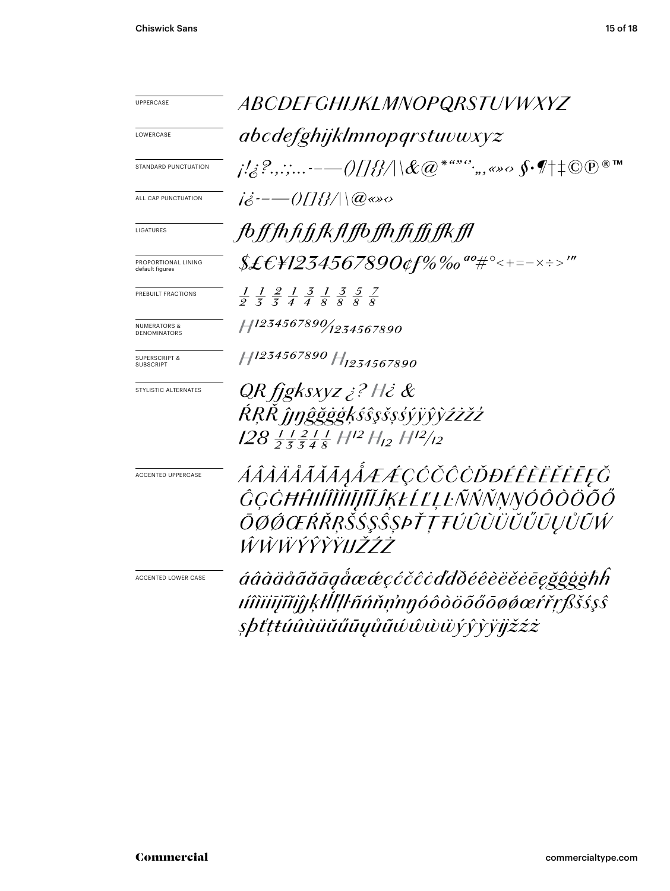| UPPERCASE                                   | ABCDEFGHIJKLMNOPQRSTUVWXYZ                                                                                                                                                                                                                                                                                                            |  |  |
|---------------------------------------------|---------------------------------------------------------------------------------------------------------------------------------------------------------------------------------------------------------------------------------------------------------------------------------------------------------------------------------------|--|--|
| LOWERCASE                                   | abcdefghijklmnopqrstuvwxyz                                                                                                                                                                                                                                                                                                            |  |  |
| STANDARD PUNCTUATION                        | $\frac{1}{2}$ , $\frac{2}{3}$ , $\frac{2}{3}$ , $\frac{2}{3}$ , $\frac{2}{3}$ , $\frac{2}{3}$ $\frac{1}{10}$ $\frac{1}{10}$ $\frac{1}{10}$ $\frac{1}{10}$ $\frac{1}{10}$ $\frac{1}{10}$ $\frac{1}{10}$ $\frac{1}{10}$ $\frac{1}{10}$ $\frac{1}{10}$ $\frac{1}{10}$ $\frac{1}{10}$ $\frac{1}{10}$ $\frac{1}{10}$ $\$<br>$\circledR$ TM |  |  |
| ALL CAP PUNCTUATION                         | $i\dot{\delta}$ --- 0118/\\@«»                                                                                                                                                                                                                                                                                                        |  |  |
| LIGATURES                                   | fbffthfifkflfbfthffiffkfl                                                                                                                                                                                                                                                                                                             |  |  |
| PROPORTIONAL LINING<br>default figures      | \$£€¥1234567890¢f%‰"#°<+=-×÷>'"                                                                                                                                                                                                                                                                                                       |  |  |
| PREBUILT FRACTIONS                          | $\frac{1}{9}$ $\frac{1}{5}$ $\frac{2}{5}$ $\frac{1}{4}$ $\frac{3}{8}$ $\frac{1}{8}$ $\frac{3}{8}$ $\frac{5}{8}$ $\frac{7}{8}$                                                                                                                                                                                                         |  |  |
| <b>NUMERATORS &amp;</b><br>DENOMINATORS     | 11234567890/1234567890                                                                                                                                                                                                                                                                                                                |  |  |
| <b>SUPERSCRIPT &amp;</b><br><b>UBSCRIPT</b> | H <sub>1234567890</sub> H <sub>1234567890</sub>                                                                                                                                                                                                                                                                                       |  |  |
| STYLISTIC ALTERNATES                        | QR fjgksxyz ¿? H¿ &<br>RŖŔĴŧŋĝğġģķśŝşšşśýÿŷỳźżžź<br>$128$ $\frac{1}{2}$ $\frac{2}{3}$ $\frac{1}{4}$ $\frac{1}{8}$ $H^{12}$ $H_{12}$ $H^{12}/_{12}$                                                                                                                                                                                    |  |  |
| <b>ACCENTED UPPERCASE</b>                   | ÁÂÀÄÅÃĂĂĄÅÆÆÇĆČĈÒĐÉÊÈËĔĒĘŎ<br>ĜĢĠĦĤŀĺĤĬIJĨĬĴĶŁĹĽĻĿÑŃŇŅŊÓÔŎŎŐŐ<br>ŌØÓŒŔŘŖŠŚŞŜŞÞŤŢŦÚÛÙÜŬŰŨŲŮŨŴ<br>ŴŴŴŶŶŶŸĦŽŹŻ                                                                                                                                                                                                                           |  |  |
| ACCENTED LOWER CASE                         | áâàäåããāgåææçćčĉċďđðéêèëĕēeğĝģģħh<br>ıíîìiiijĩiijjŖĦŢŀñńňņ'nŋóôòöõőōøǿœŕřŗßšśşŝ<br>şþťţŧúûùüŭűũųůũŵŵŵŭýŷỳÿjžźż                                                                                                                                                                                                                        |  |  |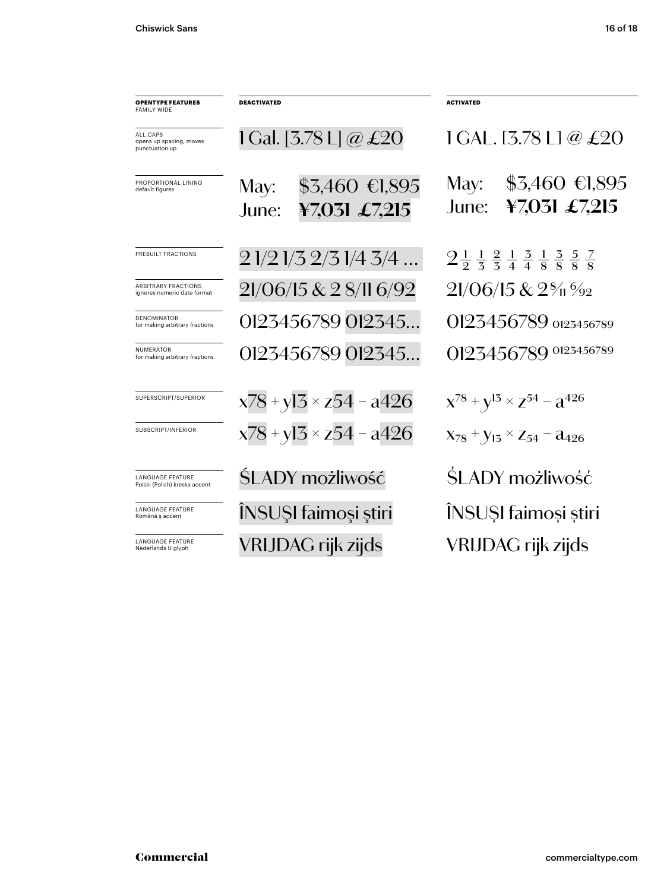| <b>OPENTYPE FEATURES</b><br><b>FAMILY WIDE</b>           | <b>DEACTIVATED</b>                                | <b>ACTIVATED</b>                                                                                                 |
|----------------------------------------------------------|---------------------------------------------------|------------------------------------------------------------------------------------------------------------------|
| ALL CAPS<br>opens up spacing, moves<br>punctuation up    | 1 Gal. [3.78 L] @ £20                             | $ICAL.$ [3.78 L] @ £20                                                                                           |
| PROPORTIONAL LINING<br>default figures                   | $$3,460$ €1,895<br>May:<br>¥7,031 £7,215<br>June: | $$3,460$ €1,895<br>May:<br>¥7,031 £7,215<br>June:                                                                |
| PREBUILT FRACTIONS                                       | 21/21/32/31/43/4                                  | $2\frac{1}{2}$ $\frac{1}{3}$ $\frac{2}{4}$ $\frac{1}{4}$ $\frac{3}{8}$ $\frac{3}{8}$ $\frac{5}{8}$ $\frac{7}{8}$ |
| ARBITRARY FRACTIONS<br>ignores numeric date format       | 21/06/15 & 2 8/11 6/92                            | $21/06/15 & 2\%1\%2$                                                                                             |
| <b>DENOMINATOR</b><br>for making arbitrary fractions     | 0123456789 012345                                 | 0123456789 0123456789                                                                                            |
| <b>NUMERATOR</b><br>for making arbitrary fractions       | 0123456789 012345                                 | 0123456789 0123456789                                                                                            |
| SUPERSCRIPT/SUPERIOR                                     | $x78 + y13 \times z54 - a426$                     | $X^{78} + Y^{13} \times Z^{54} - Z^{426}$                                                                        |
| SUBSCRIPT/INFERIOR                                       | $x78 + y13 \times z54 - a426$                     | $X_{78}$ + $Y_{13}$ $\times$ Z <sub>54</sub> – $a_{426}$                                                         |
| <b>LANGUAGE FEATURE</b><br>Polski (Polish) kreska accent | <b>SLADY możliwość</b>                            | SLADY możliwość                                                                                                  |
| <b>LANGUAGE FEATURE</b><br>Română ș accent               | ÎNSUȘI faimoși știri                              | INSUȘI faimoși știri                                                                                             |
| <b>LANGUAGE FEATURE</b><br>Nederlands IJ glyph           | VRIJDAG rijk zijds                                | VRIJDAG rijk zijds                                                                                               |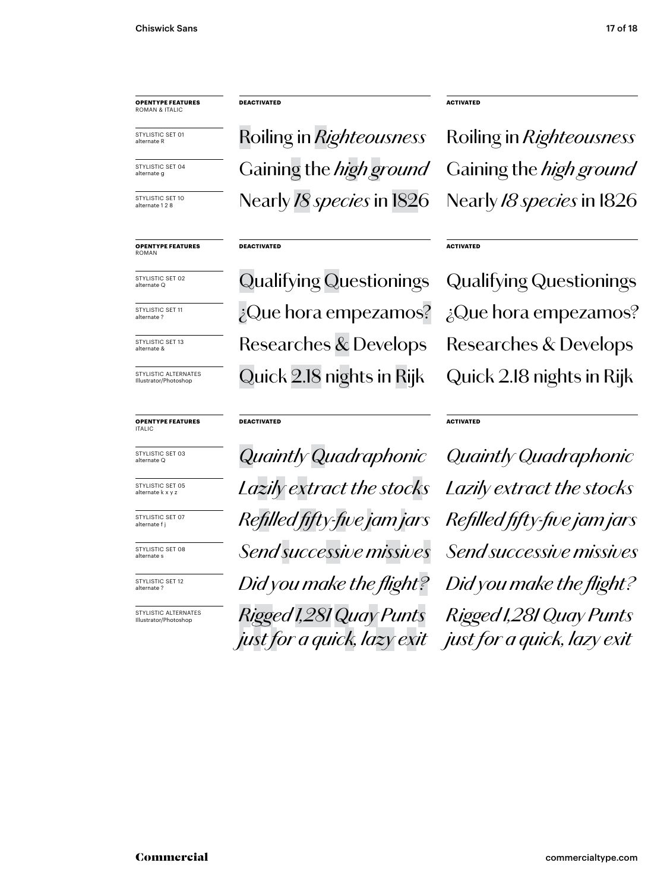STYLISTIC SET 01 alternate R

STYLISTIC SET 04 alternate g

STYLISTIC SET 10 alternate 1 2 8

**OPENTYPE FEATURES** ROMAN

STYLISTIC SET 02 alternate Q

STYLISTIC SET 11 alternate ?

STYLISTIC SET 13 alternate &

STYLISTIC ALTERNATES Illustrator/Photoshop

### **OPENTYPE FEATURES** ITALIC



STYLISTIC SET 05 alternate k x y :

STYLISTIC SET 07 alternate f j

STYLISTIC SET 08 alternate s

STYLISTIC SET 12 alternate ?

STYLISTIC ALTERNATES Illustrator/Photoshop

### **DEACTIVATED ACTIVATED**

Qualifying Questionings Qualifying Questionings Researches & Develops Researches & Develops ¿Que hora empezamos? ¿Que hora empezamos? Quick 2.18 nights in Rijk Quick 2.18 nights in Rijk

### **DEACTIVATED ACTIVATED**

alternate Q *Quaintly Quadraphonic Quaintly Quadraphonic Lazily extract the stocks Lazily extract the stocks Refilled fifty-five jam jars Refilled fifty-five jam jars Send successive missives Send successive missives Did you make the flight? Did you make the flight? Rigged 1,281 Quay Punts just for a quick, lazy exit*

### **DEACTIVATED ACTIVATED**

Roiling in *Righteousness* Roiling in *Righteousness* Gaining the *high ground* Gaining the *high ground* Nearly *18 species* in 1826 Nearly *18 species* in 1826

*Rigged 1,281 Quay Punts just for a quick, lazy exit*